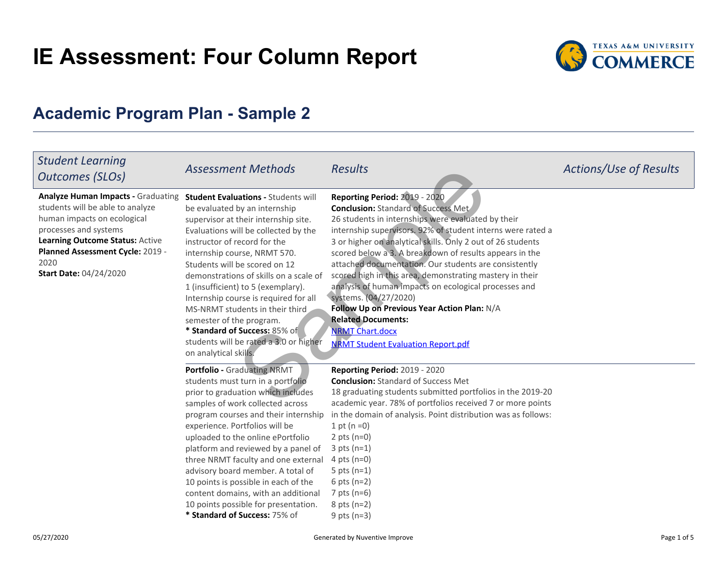# **IE Assessment: Four Column Report**



# **Academic Program Plan - Sample 2**

| <b>Student Learning</b><br>Outcomes (SLOs)                                                                                                                                                                                                            | <b>Assessment Methods</b>                                                                                                                                                                                                                                                                                                                                                                                                                                                                                                                                | <b>Results</b>                                                                                                                                                                                                                                                                                                                                                                                                                                                                                                                                                                                                                                                                       | Actions/Use of Results |
|-------------------------------------------------------------------------------------------------------------------------------------------------------------------------------------------------------------------------------------------------------|----------------------------------------------------------------------------------------------------------------------------------------------------------------------------------------------------------------------------------------------------------------------------------------------------------------------------------------------------------------------------------------------------------------------------------------------------------------------------------------------------------------------------------------------------------|--------------------------------------------------------------------------------------------------------------------------------------------------------------------------------------------------------------------------------------------------------------------------------------------------------------------------------------------------------------------------------------------------------------------------------------------------------------------------------------------------------------------------------------------------------------------------------------------------------------------------------------------------------------------------------------|------------------------|
| <b>Analyze Human Impacts - Graduating</b><br>students will be able to analyze<br>human impacts on ecological<br>processes and systems<br>Learning Outcome Status: Active<br>Planned Assessment Cycle: 2019 -<br>2020<br><b>Start Date: 04/24/2020</b> | <b>Student Evaluations - Students will</b><br>be evaluated by an internship<br>supervisor at their internship site.<br>Evaluations will be collected by the<br>instructor of record for the<br>internship course, NRMT 570.<br>Students will be scored on 12<br>demonstrations of skills on a scale of<br>1 (insufficient) to 5 (exemplary).<br>Internship course is required for all<br>MS-NRMT students in their third<br>semester of the program.<br>* Standard of Success: 85% of<br>students will be rated a 3.0 or higher<br>on analytical skills. | Reporting Period: 2019 - 2020<br><b>Conclusion: Standard of Success Met</b><br>26 students in internships were evaluated by their<br>internship supervisors. 92% of student interns were rated a<br>3 or higher on analytical skills. Only 2 out of 26 students<br>scored below a 3. A breakdown of results appears in the<br>attached documentation. Our students are consistently<br>scored high in this area, demonstrating mastery in their<br>analysis of human impacts on ecological processes and<br>systems. (04/27/2020)<br>Follow Up on Previous Year Action Plan: N/A<br><b>Related Documents:</b><br><b>NRMT Chart.docx</b><br><b>NRMT Student Evaluation Report.pdf</b> |                        |
|                                                                                                                                                                                                                                                       | <b>Portfolio - Graduating NRMT</b><br>students must turn in a portfolio<br>prior to graduation which includes<br>samples of work collected across<br>program courses and their internship<br>experience. Portfolios will be<br>uploaded to the online ePortfolio<br>platform and reviewed by a panel of<br>three NRMT faculty and one external<br>advisory board member. A total of<br>10 points is possible in each of the<br>content domains, with an additional<br>10 points possible for presentation.<br>* Standard of Success: 75% of              | <b>Reporting Period: 2019 - 2020</b><br><b>Conclusion: Standard of Success Met</b><br>18 graduating students submitted portfolios in the 2019-20<br>academic year. 78% of portfolios received 7 or more points<br>in the domain of analysis. Point distribution was as follows:<br>1 pt ( $n = 0$ )<br>2 pts $(n=0)$<br>$3$ pts (n=1)<br>4 pts $(n=0)$<br>5 pts $(n=1)$<br>6 pts $(n=2)$<br>7 pts $(n=6)$<br>$8$ pts (n=2)<br>9 pts $(n=3)$                                                                                                                                                                                                                                          |                        |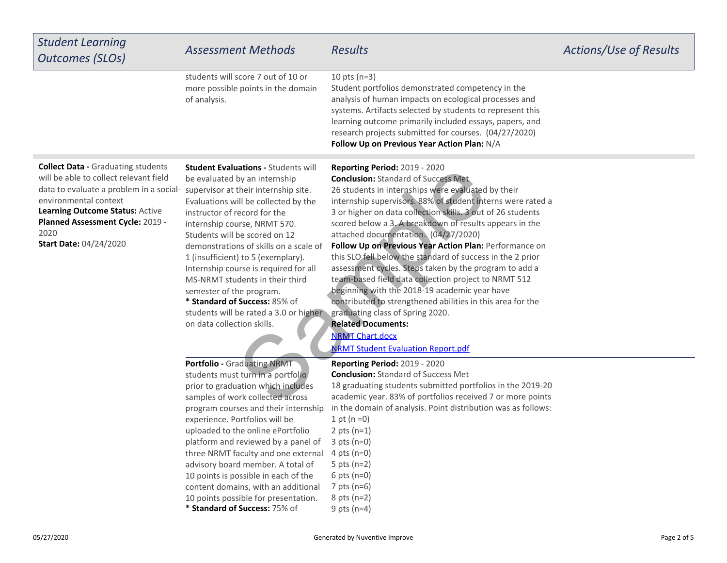| <b>Student Learning</b><br>Outcomes (SLOs)                                                                                                                                                                                                                                                                   | <b>Assessment Methods</b>                                                                                                                                                                                                                                                                                                                                                                                                                                                                                                            | <b>Results</b>                                                                                                                                                                                                                                                                                                                                                                                                                                                                                                                                                                                                                                                                                                                                                                                                                                                              | Actions/Use of Results |
|--------------------------------------------------------------------------------------------------------------------------------------------------------------------------------------------------------------------------------------------------------------------------------------------------------------|--------------------------------------------------------------------------------------------------------------------------------------------------------------------------------------------------------------------------------------------------------------------------------------------------------------------------------------------------------------------------------------------------------------------------------------------------------------------------------------------------------------------------------------|-----------------------------------------------------------------------------------------------------------------------------------------------------------------------------------------------------------------------------------------------------------------------------------------------------------------------------------------------------------------------------------------------------------------------------------------------------------------------------------------------------------------------------------------------------------------------------------------------------------------------------------------------------------------------------------------------------------------------------------------------------------------------------------------------------------------------------------------------------------------------------|------------------------|
|                                                                                                                                                                                                                                                                                                              | students will score 7 out of 10 or<br>more possible points in the domain<br>of analysis.                                                                                                                                                                                                                                                                                                                                                                                                                                             | 10 pts $(n=3)$<br>Student portfolios demonstrated competency in the<br>analysis of human impacts on ecological processes and<br>systems. Artifacts selected by students to represent this<br>learning outcome primarily included essays, papers, and<br>research projects submitted for courses. (04/27/2020)<br>Follow Up on Previous Year Action Plan: N/A                                                                                                                                                                                                                                                                                                                                                                                                                                                                                                                |                        |
| <b>Collect Data - Graduating students</b><br>will be able to collect relevant field<br>data to evaluate a problem in a social- supervisor at their internship site.<br>environmental context<br>Learning Outcome Status: Active<br>Planned Assessment Cycle: 2019 -<br>2020<br><b>Start Date: 04/24/2020</b> | <b>Student Evaluations - Students will</b><br>be evaluated by an internship<br>Evaluations will be collected by the<br>instructor of record for the<br>internship course, NRMT 570.<br>Students will be scored on 12<br>demonstrations of skills on a scale of<br>1 (insufficient) to 5 (exemplary).<br>Internship course is required for all<br>MS-NRMT students in their third<br>semester of the program.<br>* Standard of Success: 85% of<br>students will be rated a 3.0 or higher<br>on data collection skills.                | <b>Reporting Period: 2019 - 2020</b><br><b>Conclusion: Standard of Success Met.</b><br>26 students in internships were evaluated by their<br>internship supervisors. 88% of student interns were rated a<br>3 or higher on data collection skills. 3 out of 26 students<br>scored below a 3. A breakdown of results appears in the<br>attached documentation. (04/27/2020)<br>Follow Up on Previous Year Action Plan: Performance on<br>this SLO fell below the standard of success in the 2 prior<br>assessment cycles. Steps taken by the program to add a<br>team-based field data collection project to NRMT 512<br>beginning with the 2018-19 academic year have<br>contributed to strengthened abilities in this area for the<br>graduating class of Spring 2020.<br><b>Related Documents:</b><br><b>NRMT Chart.docx</b><br><b>NRMT Student Evaluation Report.pdf</b> |                        |
|                                                                                                                                                                                                                                                                                                              | Portfolio - Graduating NRMT<br>students must turn in a portfolio<br>prior to graduation which includes<br>samples of work collected across<br>program courses and their internship<br>experience. Portfolios will be<br>uploaded to the online ePortfolio<br>platform and reviewed by a panel of<br>three NRMT faculty and one external<br>advisory board member. A total of<br>10 points is possible in each of the<br>content domains, with an additional<br>10 points possible for presentation.<br>* Standard of Success: 75% of | <b>Reporting Period: 2019 - 2020</b><br><b>Conclusion:</b> Standard of Success Met<br>18 graduating students submitted portfolios in the 2019-20<br>academic year. 83% of portfolios received 7 or more points<br>in the domain of analysis. Point distribution was as follows:<br>1 pt ( $n = 0$ )<br>2 pts $(n=1)$<br>$3$ pts (n=0)<br>4 pts ( $n=0$ )<br>5 pts $(n=2)$<br>6 pts $(n=0)$<br>7 pts $(n=6)$<br>$8$ pts (n=2)<br>9 pts $(n=4)$                                                                                                                                                                                                                                                                                                                                                                                                                               |                        |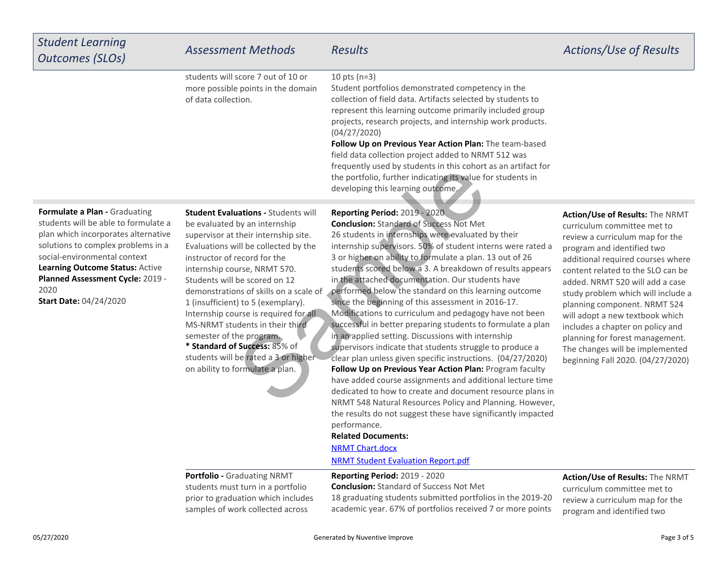| <b>Student Learning</b><br><b>Outcomes (SLOs)</b>                                                                                                                                                                                                                                                  | <b>Assessment Methods</b>                                                                                                                                                                                                                                                                                                                                                                                                                                                                                                                                        | <b>Results</b>                                                                                                                                                                                                                                                                                                                                                                                                                                                                                                                                                                                                                                                                                                                                                                                                                                                                                                                                                                                                                                                                                                                                                                                                                                          | Actions/Use of Results                                                                                                                                                                                                                                                                                                                                                                                                                                                                               |
|----------------------------------------------------------------------------------------------------------------------------------------------------------------------------------------------------------------------------------------------------------------------------------------------------|------------------------------------------------------------------------------------------------------------------------------------------------------------------------------------------------------------------------------------------------------------------------------------------------------------------------------------------------------------------------------------------------------------------------------------------------------------------------------------------------------------------------------------------------------------------|---------------------------------------------------------------------------------------------------------------------------------------------------------------------------------------------------------------------------------------------------------------------------------------------------------------------------------------------------------------------------------------------------------------------------------------------------------------------------------------------------------------------------------------------------------------------------------------------------------------------------------------------------------------------------------------------------------------------------------------------------------------------------------------------------------------------------------------------------------------------------------------------------------------------------------------------------------------------------------------------------------------------------------------------------------------------------------------------------------------------------------------------------------------------------------------------------------------------------------------------------------|------------------------------------------------------------------------------------------------------------------------------------------------------------------------------------------------------------------------------------------------------------------------------------------------------------------------------------------------------------------------------------------------------------------------------------------------------------------------------------------------------|
|                                                                                                                                                                                                                                                                                                    | students will score 7 out of 10 or<br>more possible points in the domain<br>of data collection.                                                                                                                                                                                                                                                                                                                                                                                                                                                                  | 10 pts $(n=3)$<br>Student portfolios demonstrated competency in the<br>collection of field data. Artifacts selected by students to<br>represent this learning outcome primarily included group<br>projects, research projects, and internship work products.<br>(04/27/2020)<br>Follow Up on Previous Year Action Plan: The team-based<br>field data collection project added to NRMT 512 was<br>frequently used by students in this cohort as an artifact for<br>the portfolio, further indicating its value for students in<br>developing this learning outcome.                                                                                                                                                                                                                                                                                                                                                                                                                                                                                                                                                                                                                                                                                      |                                                                                                                                                                                                                                                                                                                                                                                                                                                                                                      |
| Formulate a Plan - Graduating<br>students will be able to formulate a<br>plan which incorporates alternative<br>solutions to complex problems in a<br>social-environmental context<br>Learning Outcome Status: Active<br>Planned Assessment Cycle: 2019 -<br>2020<br><b>Start Date: 04/24/2020</b> | <b>Student Evaluations - Students will</b><br>be evaluated by an internship<br>supervisor at their internship site.<br>Evaluations will be collected by the<br>instructor of record for the<br>internship course, NRMT 570.<br>Students will be scored on 12<br>demonstrations of skills on a scale of<br>1 (insufficient) to 5 (exemplary).<br>Internship course is required for all<br>MS-NRMT students in their third<br>semester of the program.<br>* Standard of Success: 85% of<br>students will be rated a 3 or higher<br>on ability to formulate a plan. | <b>Reporting Period: 2019 - 2020.</b><br><b>Conclusion: Standard of Success Not Met</b><br>26 students in internships were evaluated by their<br>internship supervisors. 50% of student interns were rated a<br>3 or higher on ability to formulate a plan. 13 out of 26<br>students scored below a 3. A breakdown of results appears<br>in the attached documentation. Our students have<br>performed below the standard on this learning outcome<br>since the beginning of this assessment in 2016-17.<br>Modifications to curriculum and pedagogy have not been<br>successful in better preparing students to formulate a plan<br>in an applied setting. Discussions with internship<br>supervisors indicate that students struggle to produce a<br>clear plan unless given specific instructions. (04/27/2020)<br>Follow Up on Previous Year Action Plan: Program faculty<br>have added course assignments and additional lecture time<br>dedicated to how to create and document resource plans in<br>NRMT 548 Natural Resources Policy and Planning. However,<br>the results do not suggest these have significantly impacted<br>performance.<br><b>Related Documents:</b><br><b>NRMT Chart.docx</b><br><b>NRMT Student Evaluation Report.pdf</b> | Action/Use of Results: The NRMT<br>curriculum committee met to<br>review a curriculum map for the<br>program and identified two<br>additional required courses where<br>content related to the SLO can be<br>added. NRMT 520 will add a case<br>study problem which will include a<br>planning component. NRMT 524<br>will adopt a new textbook which<br>includes a chapter on policy and<br>planning for forest management.<br>The changes will be implemented<br>beginning Fall 2020. (04/27/2020) |
|                                                                                                                                                                                                                                                                                                    | <b>Portfolio - Graduating NRMT</b><br>students must turn in a portfolio<br>prior to graduation which includes<br>samples of work collected across                                                                                                                                                                                                                                                                                                                                                                                                                | Reporting Period: 2019 - 2020<br><b>Conclusion: Standard of Success Not Met</b><br>18 graduating students submitted portfolios in the 2019-20<br>academic year. 67% of portfolios received 7 or more points                                                                                                                                                                                                                                                                                                                                                                                                                                                                                                                                                                                                                                                                                                                                                                                                                                                                                                                                                                                                                                             | Action/Use of Results: The NRMT<br>curriculum committee met to<br>review a curriculum map for the<br>program and identified two                                                                                                                                                                                                                                                                                                                                                                      |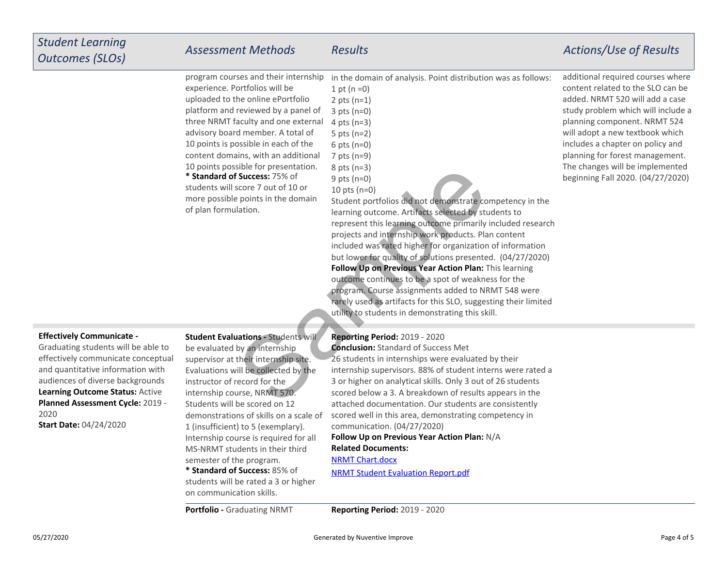## *Student LearningOutcomes (SLOs)*

6 pts (n=0)7 pts (n=9)8 pts (n=3)9 pts (n=0)

in the domain of analysis. Point distribution was as follows:

**\* Standard of Success:** 75% of students will score 7 out of 10 or more possible points in the domainprogram courses and their internshipexperience. Portfolios will be uploaded to the online ePortfolio platform and reviewed by a panel ofthree NRMT faculty and one externaladvisory board member. A total of10 points is possible in each of the content domains, with an additional10 points possible for presentation.

of plan formulation.

1 pt  $(n = 0)$  2 pts (n=1)3 pts (n=0) 4 pts (n=3)5 pts (n=2)

**Follow Up on Previous Year Action Plan:** This learningoutcome continues to be a spot of weakness for the program. Course assignments added to NRMT 548 were rarely used as artifacts for this SLO, suggesting their limitedutility to students in demonstrating this skill.10 pts (n=0)Student portfolios did not demonstrate competency in thelearning outcome. Artifacts selected by students to represent this learning outcome primarily included researchprojects and internship work products. Plan content included was rated higher for organization of information but lower for quality of solutions presented. (04/27/2020)Since for presentation. 8 pts (n=3)<br>
Samples of the second between the domain student portfolios did not demonstrate co<br>
lation.<br>
Samples in the domain student portfolios did not demonstrate co<br>
lation.<br>
lation and the do

### **Effectively Communicate -**

**Learning Outcome Status:** Active **Planned Assessment Cycle:** 2019 -2020 **Start Date:** 04/24/2020Graduating students will be able to effectively communicate conceptualand quantitative information withaudiences of diverse backgrounds

**\* Standard of Success:** 85% of **Student Evaluations - Students will** be evaluated by an internship supervisor at their internship site.Evaluations will be collected by theinstructor of record for the internship course, NRMT 570.Students will be scored on 12 demonstrations of skills on a scale of1 (insufficient) to 5 (exemplary).Internship course is required for allMS-NRMT students in their thirdsemester of the program.

 students will be rated a 3 or higheron communication skills.

**Portfolio - Graduating NRMT** 

**Reporting Period:** 2019 - 2020

**Follow Up on Previous Year Action Plan:** N/A **Conclusion:** Standard of Success Met26 students in internships were evaluated by their internship supervisors. 88% of student interns were rated a3 or higher on analytical skills. Only 3 out of 26 students scored below a 3. A breakdown of results appears in the attached documentation. Our students are consistently scored well in this area, demonstrating competency incommunication. (04/27/2020)

### **Related Documents:**

[NRMT Chart.docx](https://tamuc.improve.nuventive.com:443/tracdat/viewDocument?y=coESzJEcBYNL)

[NRMT Student Evaluation Report.pdf](https://tamuc.improve.nuventive.com:443/tracdat/viewDocument?y=PPaTedGEqRZ9)

**Reporting Period:** 2019 - 2020

additional required courses where content related to the SLO can be added. NRMT 520 will add a case study problem which will include aplanning component. NRMT 524 will adopt a new textbook which includes a chapter on policy and planning for forest management.The changes will be implementedbeginning Fall 2020. (04/27/2020)